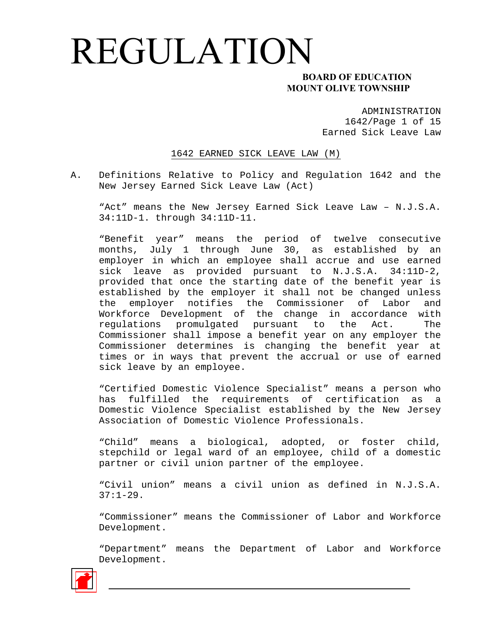#### **MOUNT OLIVE TOWNSHIP**

ADMINISTRATION 1642/Page 1 of 15 Earned Sick Leave Law

1642 EARNED SICK LEAVE LAW (M)

A. Definitions Relative to Policy and Regulation 1642 and the New Jersey Earned Sick Leave Law (Act)

"Act" means the New Jersey Earned Sick Leave Law – N.J.S.A. 34:11D-1. through 34:11D-11.

"Benefit year" means the period of twelve consecutive months, July 1 through June 30, as established by an employer in which an employee shall accrue and use earned sick leave as provided pursuant to N.J.S.A. 34:11D-2, provided that once the starting date of the benefit year is established by the employer it shall not be changed unless the employer notifies the Commissioner of Labor and Workforce Development of the change in accordance with regulations promulgated pursuant to the Act. The Commissioner shall impose a benefit year on any employer the Commissioner determines is changing the benefit year at times or in ways that prevent the accrual or use of earned sick leave by an employee.

"Certified Domestic Violence Specialist" means a person who has fulfilled the requirements of certification as a Domestic Violence Specialist established by the New Jersey Association of Domestic Violence Professionals.

"Child" means a biological, adopted, or foster child, stepchild or legal ward of an employee, child of a domestic partner or civil union partner of the employee.

"Civil union" means a civil union as defined in N.J.S.A.  $37:1-29.$ 

"Commissioner" means the Commissioner of Labor and Workforce Development.

"Department" means the Department of Labor and Workforce Development.

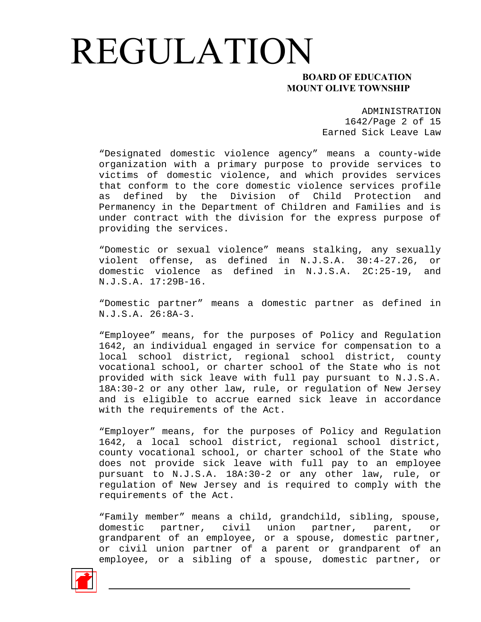#### **MOUNT OLIVE TOWNSHIP**

ADMINISTRATION 1642/Page 2 of 15 Earned Sick Leave Law

"Designated domestic violence agency" means a county-wide organization with a primary purpose to provide services to victims of domestic violence, and which provides services that conform to the core domestic violence services profile defined by the Division of Child Protection and Permanency in the Department of Children and Families and is under contract with the division for the express purpose of providing the services.

"Domestic or sexual violence" means stalking, any sexually violent offense, as defined in N.J.S.A. 30:4-27.26, or domestic violence as defined in N.J.S.A. 2C:25-19, and N.J.S.A. 17:29B-16.

"Domestic partner" means a domestic partner as defined in N.J.S.A. 26:8A-3.

"Employee" means, for the purposes of Policy and Regulation 1642, an individual engaged in service for compensation to a local school district, regional school district, county vocational school, or charter school of the State who is not provided with sick leave with full pay pursuant to N.J.S.A. 18A:30-2 or any other law, rule, or regulation of New Jersey and is eligible to accrue earned sick leave in accordance with the requirements of the Act.

"Employer" means, for the purposes of Policy and Regulation 1642, a local school district, regional school district, county vocational school, or charter school of the State who does not provide sick leave with full pay to an employee pursuant to N.J.S.A. 18A:30-2 or any other law, rule, or regulation of New Jersey and is required to comply with the requirements of the Act.

"Family member" means a child, grandchild, sibling, spouse, domestic partner, civil union partner, parent, or grandparent of an employee, or a spouse, domestic partner, or civil union partner of a parent or grandparent of an employee, or a sibling of a spouse, domestic partner, or

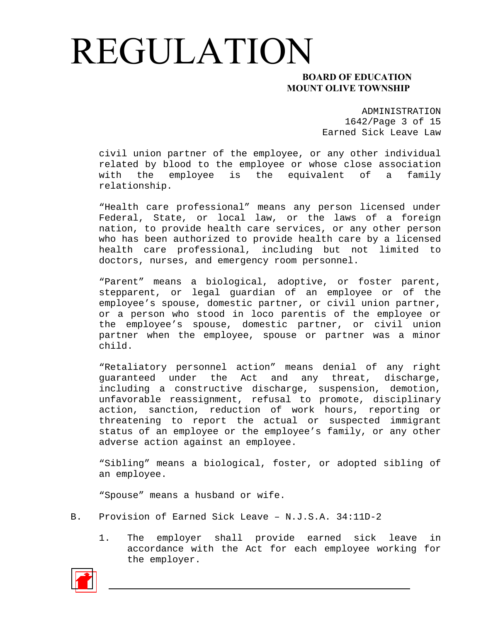#### **MOUNT OLIVE TOWNSHIP**

ADMINISTRATION 1642/Page 3 of 15 Earned Sick Leave Law

civil union partner of the employee, or any other individual related by blood to the employee or whose close association with the employee is the equivalent of a family relationship.

"Health care professional" means any person licensed under Federal, State, or local law, or the laws of a foreign nation, to provide health care services, or any other person who has been authorized to provide health care by a licensed health care professional, including but not limited to doctors, nurses, and emergency room personnel.

"Parent" means a biological, adoptive, or foster parent, stepparent, or legal guardian of an employee or of the employee's spouse, domestic partner, or civil union partner, or a person who stood in loco parentis of the employee or the employee's spouse, domestic partner, or civil union partner when the employee, spouse or partner was a minor child.

"Retaliatory personnel action" means denial of any right guaranteed under the Act and any threat, discharge, including a constructive discharge, suspension, demotion, unfavorable reassignment, refusal to promote, disciplinary action, sanction, reduction of work hours, reporting or threatening to report the actual or suspected immigrant status of an employee or the employee's family, or any other adverse action against an employee.

"Sibling" means a biological, foster, or adopted sibling of an employee.

"Spouse" means a husband or wife.

- B. Provision of Earned Sick Leave N.J.S.A. 34:11D-2
	- 1. The employer shall provide earned sick leave in accordance with the Act for each employee working for the employer.

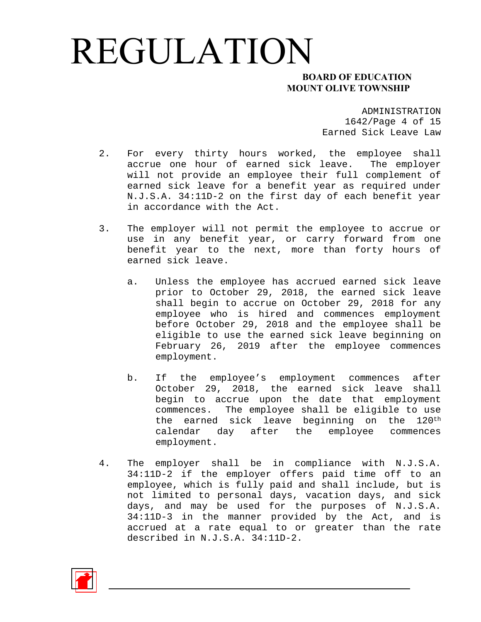#### **MOUNT OLIVE TOWNSHIP**

ADMINISTRATION 1642/Page 4 of 15 Earned Sick Leave Law

- 2. For every thirty hours worked, the employee shall accrue one hour of earned sick leave. The employer will not provide an employee their full complement of earned sick leave for a benefit year as required under N.J.S.A. 34:11D-2 on the first day of each benefit year in accordance with the Act.
- 3. The employer will not permit the employee to accrue or use in any benefit year, or carry forward from one benefit year to the next, more than forty hours of earned sick leave.
	- a. Unless the employee has accrued earned sick leave prior to October 29, 2018, the earned sick leave shall begin to accrue on October 29, 2018 for any employee who is hired and commences employment before October 29, 2018 and the employee shall be eligible to use the earned sick leave beginning on February 26, 2019 after the employee commences employment.
	- b. If the employee's employment commences after October 29, 2018, the earned sick leave shall begin to accrue upon the date that employment commences. The employee shall be eligible to use the earned sick leave beginning on the 120th calendar day after the employee commences employment.
- 4. The employer shall be in compliance with N.J.S.A. 34:11D-2 if the employer offers paid time off to an employee, which is fully paid and shall include, but is not limited to personal days, vacation days, and sick days, and may be used for the purposes of N.J.S.A. 34:11D-3 in the manner provided by the Act, and is accrued at a rate equal to or greater than the rate described in N.J.S.A. 34:11D-2.

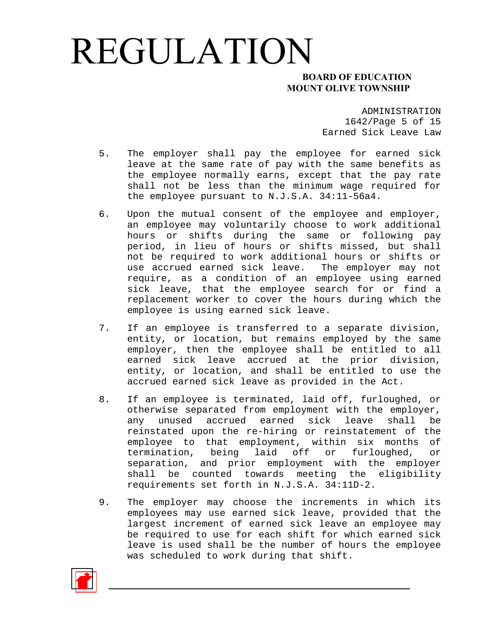#### **MOUNT OLIVE TOWNSHIP**

ADMINISTRATION 1642/Page 5 of 15 Earned Sick Leave Law

- 5. The employer shall pay the employee for earned sick leave at the same rate of pay with the same benefits as the employee normally earns, except that the pay rate shall not be less than the minimum wage required for the employee pursuant to N.J.S.A. 34:11-56a4.
- 6. Upon the mutual consent of the employee and employer, an employee may voluntarily choose to work additional hours or shifts during the same or following pay period, in lieu of hours or shifts missed, but shall not be required to work additional hours or shifts or use accrued earned sick leave. The employer may not require, as a condition of an employee using earned sick leave, that the employee search for or find a replacement worker to cover the hours during which the employee is using earned sick leave.
- 7. If an employee is transferred to a separate division, entity, or location, but remains employed by the same employer, then the employee shall be entitled to all earned sick leave accrued at the prior division, entity, or location, and shall be entitled to use the accrued earned sick leave as provided in the Act.
- 8. If an employee is terminated, laid off, furloughed, or otherwise separated from employment with the employer, any unused accrued earned sick leave shall be reinstated upon the re-hiring or reinstatement of the employee to that employment, within six months of termination, being laid off or furloughed, or separation, and prior employment with the employer shall be counted towards meeting the eligibility requirements set forth in N.J.S.A. 34:11D-2.
- 9. The employer may choose the increments in which its employees may use earned sick leave, provided that the largest increment of earned sick leave an employee may be required to use for each shift for which earned sick leave is used shall be the number of hours the employee was scheduled to work during that shift.

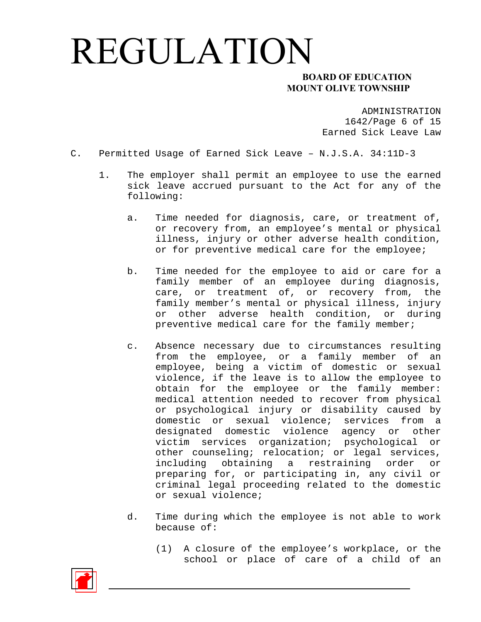#### **MOUNT OLIVE TOWNSHIP**

ADMINISTRATION 1642/Page 6 of 15 Earned Sick Leave Law

- C. Permitted Usage of Earned Sick Leave N.J.S.A. 34:11D-3
	- 1. The employer shall permit an employee to use the earned sick leave accrued pursuant to the Act for any of the following:
		- a. Time needed for diagnosis, care, or treatment of, or recovery from, an employee's mental or physical illness, injury or other adverse health condition, or for preventive medical care for the employee;
		- b. Time needed for the employee to aid or care for a family member of an employee during diagnosis, care, or treatment of, or recovery from, the family member's mental or physical illness, injury or other adverse health condition, or during preventive medical care for the family member;
		- c. Absence necessary due to circumstances resulting from the employee, or a family member of an employee, being a victim of domestic or sexual violence, if the leave is to allow the employee to obtain for the employee or the family member: medical attention needed to recover from physical or psychological injury or disability caused by domestic or sexual violence; services from a designated domestic violence agency or other victim services organization; psychological or other counseling; relocation; or legal services, including obtaining a restraining order or preparing for, or participating in, any civil or criminal legal proceeding related to the domestic or sexual violence;
		- d. Time during which the employee is not able to work because of:
			- (1) A closure of the employee's workplace, or the school or place of care of a child of an

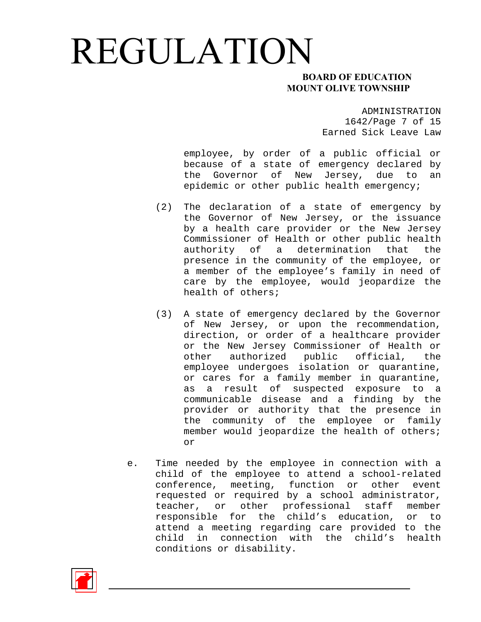#### **MOUNT OLIVE TOWNSHIP**

ADMINISTRATION 1642/Page 7 of 15 Earned Sick Leave Law

employee, by order of a public official or because of a state of emergency declared by the Governor of New Jersey, due to an epidemic or other public health emergency;

- (2) The declaration of a state of emergency by the Governor of New Jersey, or the issuance by a health care provider or the New Jersey Commissioner of Health or other public health authority of a determination that the presence in the community of the employee, or a member of the employee's family in need of care by the employee, would jeopardize the health of others;
- (3) A state of emergency declared by the Governor of New Jersey, or upon the recommendation, direction, or order of a healthcare provider or the New Jersey Commissioner of Health or other authorized public official, the employee undergoes isolation or quarantine, or cares for a family member in quarantine, as a result of suspected exposure to a communicable disease and a finding by the provider or authority that the presence in the community of the employee or family member would jeopardize the health of others; or
- e. Time needed by the employee in connection with a child of the employee to attend a school-related conference, meeting, function or other event requested or required by a school administrator, teacher, or other professional staff member responsible for the child's education, or to attend a meeting regarding care provided to the child in connection with the child's health conditions or disability.

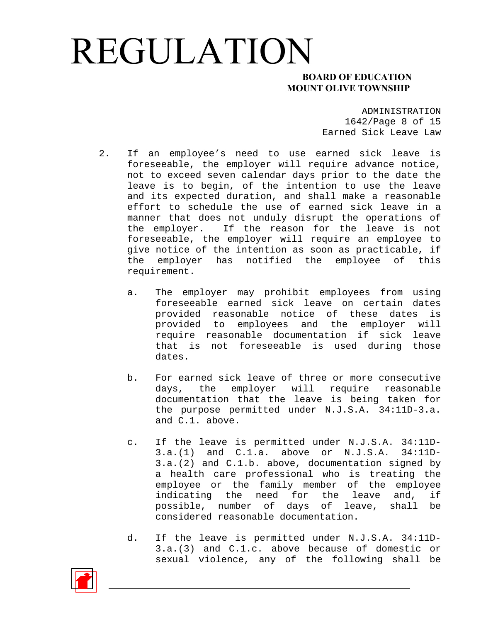#### **MOUNT OLIVE TOWNSHIP**

ADMINISTRATION 1642/Page 8 of 15 Earned Sick Leave Law

- 2. If an employee's need to use earned sick leave is foreseeable, the employer will require advance notice, not to exceed seven calendar days prior to the date the leave is to begin, of the intention to use the leave and its expected duration, and shall make a reasonable effort to schedule the use of earned sick leave in a manner that does not unduly disrupt the operations of the employer. If the reason for the leave is not foreseeable, the employer will require an employee to give notice of the intention as soon as practicable, if the employer has notified the employee of this requirement.
	- a. The employer may prohibit employees from using foreseeable earned sick leave on certain dates provided reasonable notice of these dates is provided to employees and the employer will require reasonable documentation if sick leave that is not foreseeable is used during those dates.
	- b. For earned sick leave of three or more consecutive days, the employer will require reasonable documentation that the leave is being taken for the purpose permitted under N.J.S.A. 34:11D-3.a. and C.1. above.
	- c. If the leave is permitted under N.J.S.A. 34:11D-3.a.(1) and C.1.a. above or N.J.S.A. 34:11D-3.a.(2) and C.1.b. above, documentation signed by a health care professional who is treating the employee or the family member of the employee indicating the need for the leave and, if possible, number of days of leave, shall be considered reasonable documentation.
	- d. If the leave is permitted under N.J.S.A. 34:11D-3.a.(3) and C.1.c. above because of domestic or sexual violence, any of the following shall be

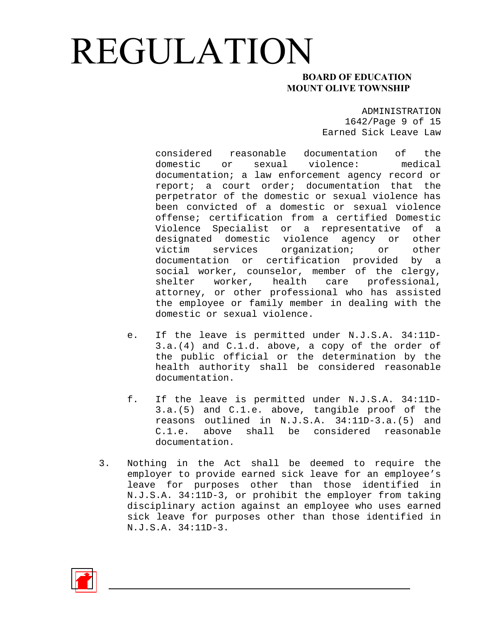#### **MOUNT OLIVE TOWNSHIP**

ADMINISTRATION 1642/Page 9 of 15 Earned Sick Leave Law

considered reasonable documentation of the domestic or sexual violence: medical documentation; a law enforcement agency record or report; a court order; documentation that the perpetrator of the domestic or sexual violence has been convicted of a domestic or sexual violence offense; certification from a certified Domestic Violence Specialist or a representative of a designated domestic violence agency or other victim services organization; or other documentation or certification provided by a social worker, counselor, member of the clergy, shelter worker, health care professional, attorney, or other professional who has assisted the employee or family member in dealing with the domestic or sexual violence.

- e. If the leave is permitted under N.J.S.A. 34:11D-3.a.(4) and C.1.d. above, a copy of the order of the public official or the determination by the health authority shall be considered reasonable documentation.
- f. If the leave is permitted under N.J.S.A. 34:11D-3.a.(5) and C.1.e. above, tangible proof of the reasons outlined in N.J.S.A. 34:11D-3.a.(5) and C.1.e. above shall be considered reasonable documentation.
- 3. Nothing in the Act shall be deemed to require the employer to provide earned sick leave for an employee's leave for purposes other than those identified in N.J.S.A. 34:11D-3, or prohibit the employer from taking disciplinary action against an employee who uses earned sick leave for purposes other than those identified in N.J.S.A. 34:11D-3.

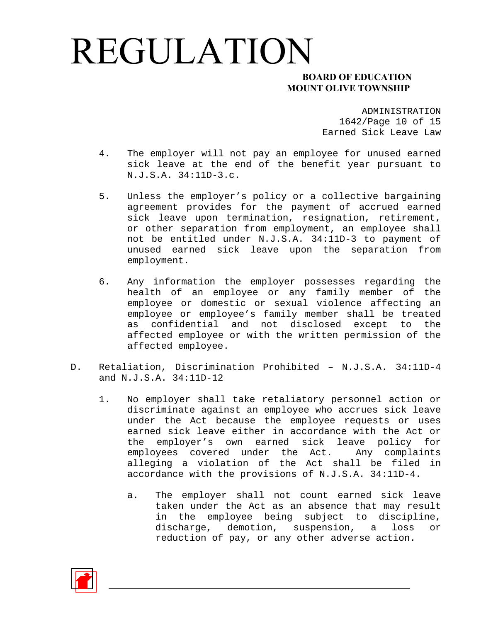#### **MOUNT OLIVE TOWNSHIP**

ADMINISTRATION 1642/Page 10 of 15 Earned Sick Leave Law

- 4. The employer will not pay an employee for unused earned sick leave at the end of the benefit year pursuant to N.J.S.A. 34:11D-3.c.
- 5. Unless the employer's policy or a collective bargaining agreement provides for the payment of accrued earned sick leave upon termination, resignation, retirement, or other separation from employment, an employee shall not be entitled under N.J.S.A. 34:11D-3 to payment of unused earned sick leave upon the separation from employment.
- 6. Any information the employer possesses regarding the health of an employee or any family member of the employee or domestic or sexual violence affecting an employee or employee's family member shall be treated as confidential and not disclosed except to the affected employee or with the written permission of the affected employee.
- D. Retaliation, Discrimination Prohibited N.J.S.A. 34:11D-4 and N.J.S.A. 34:11D-12
	- 1. No employer shall take retaliatory personnel action or discriminate against an employee who accrues sick leave under the Act because the employee requests or uses earned sick leave either in accordance with the Act or the employer's own earned sick leave policy for employees covered under the Act. Any complaints alleging a violation of the Act shall be filed in accordance with the provisions of N.J.S.A. 34:11D-4.
		- a. The employer shall not count earned sick leave taken under the Act as an absence that may result in the employee being subject to discipline, discharge, demotion, suspension, a loss or reduction of pay, or any other adverse action.

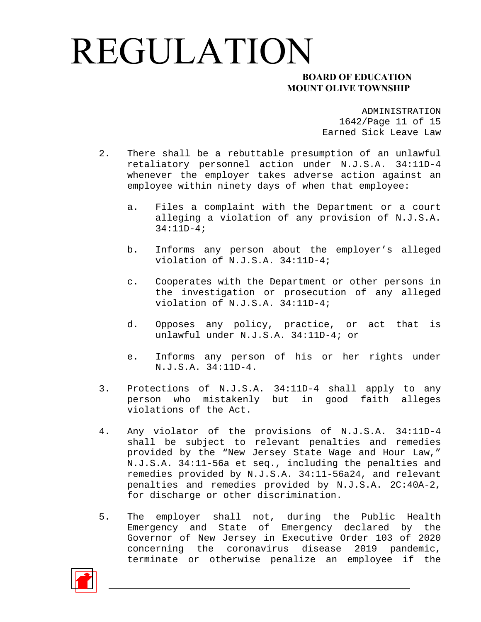#### **MOUNT OLIVE TOWNSHIP**

ADMINISTRATION 1642/Page 11 of 15 Earned Sick Leave Law

- 2. There shall be a rebuttable presumption of an unlawful retaliatory personnel action under N.J.S.A. 34:11D-4 whenever the employer takes adverse action against an employee within ninety days of when that employee:
	- a. Files a complaint with the Department or a court alleging a violation of any provision of N.J.S.A. 34:11D-4;
	- b. Informs any person about the employer's alleged violation of N.J.S.A. 34:11D-4;
	- c. Cooperates with the Department or other persons in the investigation or prosecution of any alleged violation of N.J.S.A. 34:11D-4;
	- d. Opposes any policy, practice, or act that is unlawful under N.J.S.A. 34:11D-4; or
	- e. Informs any person of his or her rights under N.J.S.A. 34:11D-4.
- 3. Protections of N.J.S.A. 34:11D-4 shall apply to any person who mistakenly but in good faith alleges violations of the Act.
- 4. Any violator of the provisions of N.J.S.A. 34:11D-4 shall be subject to relevant penalties and remedies provided by the "New Jersey State Wage and Hour Law," N.J.S.A. 34:11-56a et seq., including the penalties and remedies provided by N.J.S.A. 34:11-56a24, and relevant penalties and remedies provided by N.J.S.A. 2C:40A-2, for discharge or other discrimination.
- 5. The employer shall not, during the Public Health Emergency and State of Emergency declared by the Governor of New Jersey in Executive Order 103 of 2020 concerning the coronavirus disease 2019 pandemic, terminate or otherwise penalize an employee if the

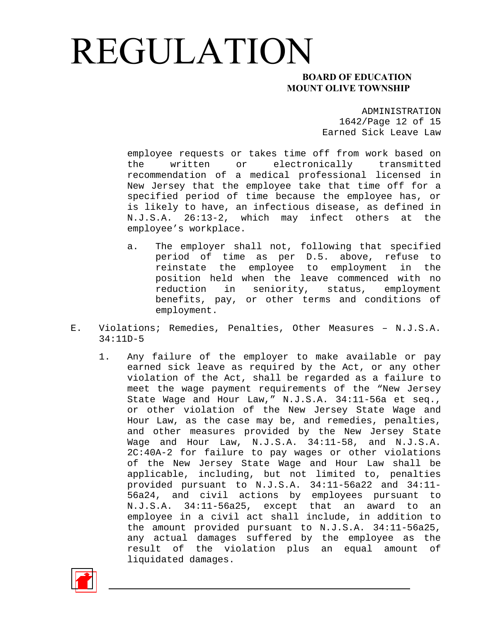#### **MOUNT OLIVE TOWNSHIP**

ADMINISTRATION 1642/Page 12 of 15 Earned Sick Leave Law

employee requests or takes time off from work based on the written or electronically transmitted recommendation of a medical professional licensed in New Jersey that the employee take that time off for a specified period of time because the employee has, or is likely to have, an infectious disease, as defined in N.J.S.A. 26:13-2, which may infect others at the employee's workplace.

- a. The employer shall not, following that specified period of time as per D.5. above, refuse to reinstate the employee to employment in the position held when the leave commenced with no reduction in seniority, status, employment benefits, pay, or other terms and conditions of employment.
- E. Violations; Remedies, Penalties, Other Measures N.J.S.A. 34:11D-5
	- 1. Any failure of the employer to make available or pay earned sick leave as required by the Act, or any other violation of the Act, shall be regarded as a failure to meet the wage payment requirements of the "New Jersey State Wage and Hour Law," N.J.S.A. 34:11-56a et seq., or other violation of the New Jersey State Wage and Hour Law, as the case may be, and remedies, penalties, and other measures provided by the New Jersey State Wage and Hour Law, N.J.S.A. 34:11-58, and N.J.S.A. 2C:40A-2 for failure to pay wages or other violations of the New Jersey State Wage and Hour Law shall be applicable, including, but not limited to, penalties provided pursuant to N.J.S.A. 34:11-56a22 and 34:11- 56a24, and civil actions by employees pursuant to N.J.S.A. 34:11-56a25, except that an award to an employee in a civil act shall include, in addition to the amount provided pursuant to N.J.S.A. 34:11-56a25, any actual damages suffered by the employee as the result of the violation plus an equal amount of liquidated damages.

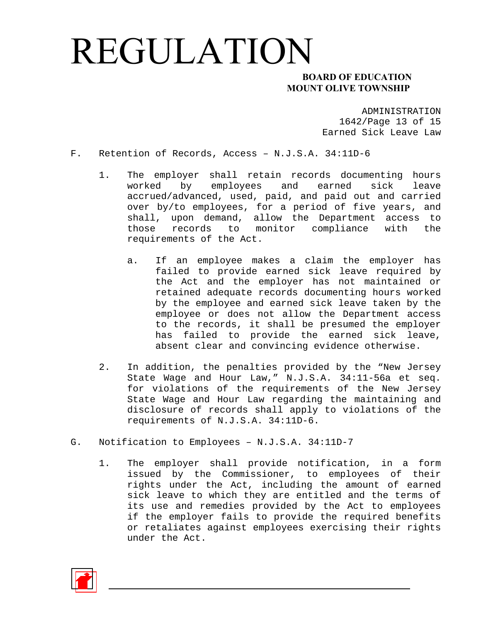#### **MOUNT OLIVE TOWNSHIP**

ADMINISTRATION 1642/Page 13 of 15 Earned Sick Leave Law

- F. Retention of Records, Access N.J.S.A. 34:11D-6
	- 1. The employer shall retain records documenting hours worked by employees and earned sick leave accrued/advanced, used, paid, and paid out and carried over by/to employees, for a period of five years, and shall, upon demand, allow the Department access to those records to monitor compliance with the requirements of the Act.
		- a. If an employee makes a claim the employer has failed to provide earned sick leave required by the Act and the employer has not maintained or retained adequate records documenting hours worked by the employee and earned sick leave taken by the employee or does not allow the Department access to the records, it shall be presumed the employer has failed to provide the earned sick leave, absent clear and convincing evidence otherwise.
	- 2. In addition, the penalties provided by the "New Jersey State Wage and Hour Law," N.J.S.A. 34:11-56a et seq. for violations of the requirements of the New Jersey State Wage and Hour Law regarding the maintaining and disclosure of records shall apply to violations of the requirements of N.J.S.A. 34:11D-6.
- G. Notification to Employees N.J.S.A. 34:11D-7
	- 1. The employer shall provide notification, in a form issued by the Commissioner, to employees of their rights under the Act, including the amount of earned sick leave to which they are entitled and the terms of its use and remedies provided by the Act to employees if the employer fails to provide the required benefits or retaliates against employees exercising their rights under the Act.

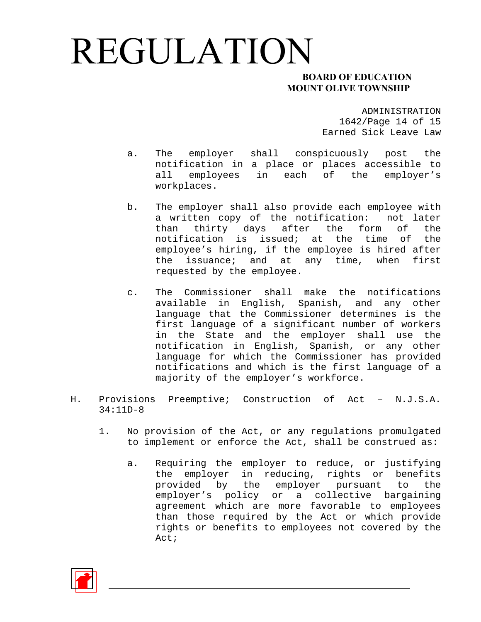#### **MOUNT OLIVE TOWNSHIP**

ADMINISTRATION 1642/Page 14 of 15 Earned Sick Leave Law

- a. The employer shall conspicuously post the notification in a place or places accessible to all employees in each of the employer's workplaces.
- b. The employer shall also provide each employee with a written copy of the notification: not later than thirty days after the form of the notification is issued; at the time of the employee's hiring, if the employee is hired after the issuance; and at any time, when first requested by the employee.
- c. The Commissioner shall make the notifications available in English, Spanish, and any other language that the Commissioner determines is the first language of a significant number of workers in the State and the employer shall use the notification in English, Spanish, or any other language for which the Commissioner has provided notifications and which is the first language of a majority of the employer's workforce.
- H. Provisions Preemptive; Construction of Act N.J.S.A. 34:11D-8
	- 1. No provision of the Act, or any regulations promulgated to implement or enforce the Act, shall be construed as:
		- a. Requiring the employer to reduce, or justifying the employer in reducing, rights or benefits provided by the employer pursuant to the employer's policy or a collective bargaining agreement which are more favorable to employees than those required by the Act or which provide rights or benefits to employees not covered by the Act;